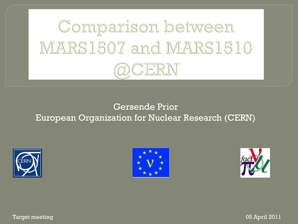

#### Gersende Prior European Organization for Nuclear Research (CERN)







Target meeting 05 April 2011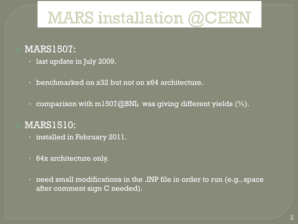# MARS installation @CERN

#### MARS1507:

- last update in July 2009.
- benchmarked on x32 but not on x64 architecture.
- comparison with m1507@BNL was giving different yields  $(\%)$ .

#### MARS1510:

- installed in February 2011.
- 64x architecture only.
- need small modifications in the .INP file in order to run (e.g., space after comment sign C needed).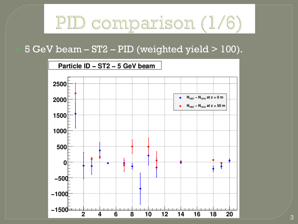# PID comparison (1/6)

#### 5 GeV beam – ST2 – PID (weighted yield > 100).

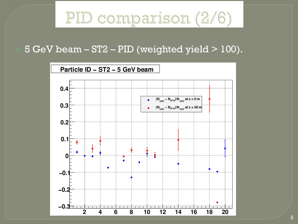# PID comparison (2/6)

#### 5 GeV beam – ST2 – PID (weighted yield > 100).

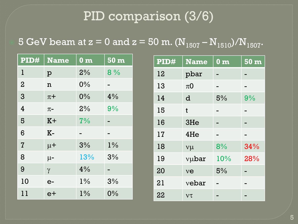# PID comparison (3/6)

## 5 GeV beam at  $z = 0$  and  $z = 50$  m.  $(N_{1507} - N_{1510})/N_{1507}$ .

| PID#           | <b>Name</b> | $\overline{\mathbf{0} \ \mathbf{m}}$ | 50 <sub>m</sub> |
|----------------|-------------|--------------------------------------|-----------------|
| l              | p           | 2%                                   | 8%              |
| $\overline{2}$ | n           | 0%                                   |                 |
| 3              | $\pi$ +     | 0%                                   | 4%              |
| $\overline{4}$ | $\pi$ -     | 2%                                   | 9%              |
| 5              | $K +$       | 7%                                   |                 |
| 6              | $K-$        |                                      |                 |
| $\overline{I}$ | $\mu$ +     | 3%                                   | $1\%$           |
| 8              | $\mu$ -     | 13%                                  | 3%              |
| 9              | $\gamma$    | 4%                                   |                 |
| 10             | $e-$        | $1\%$                                | 3%              |
| 11             | $e+$        | $1\%$                                | $0\%$           |

| PID# | <b>Name</b>        | $\overline{\mathbf{0} \; \mathbf{m}}$ | 50 <sub>m</sub> |
|------|--------------------|---------------------------------------|-----------------|
| 12   | pbar               |                                       |                 |
| 13   | $\pi$ <sup>O</sup> |                                       |                 |
| 14   | d                  | 5%                                    | 9%              |
| 15   | $\mathbf t$        |                                       |                 |
| 16   | 3He                |                                       |                 |
| 17   | 4He                |                                       |                 |
| 18   | $v\mu$             | 8%                                    | 34%             |
| 19   | vubar              | 10%                                   | 28%             |
| 20   | ve                 | 5%                                    |                 |
| 21   | vebar              |                                       |                 |
| 22   | $V\tau$            |                                       |                 |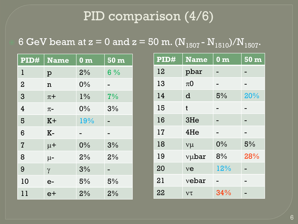# PID comparison (4/6)

### 6 GeV beam at  $z = 0$  and  $z = 50$  m.  $(N_{1507} - N_{1510})/N_{1507}$ .

| PID#           | <b>Name</b> | $0 \text{ m}$ | 50 <sub>m</sub> |
|----------------|-------------|---------------|-----------------|
| $\mathbf{l}$   | p           | 2%            | $6\%$           |
| $\overline{2}$ | n           | $0\%$         |                 |
| 3              | $\pi +$     | $1\%$         | 7%              |
| 4              | $\pi$ -     | 0%            | 3%              |
| 5              | $K+$        | 19%           |                 |
| 6              | $K-$        |               |                 |
| $\overline{I}$ | $\mu$ +     | 0%            | 3%              |
| 8              | $\mu$ -     | 2%            | 2%              |
| 9              | $\gamma$    | 3%            |                 |
| 10             | $e-$        | 5%            | 5%              |
| 11             | $e+$        | 2%            | 2%              |

| PID# | <b>Name</b> | 0 <sub>m</sub> | 50 <sub>m</sub> |
|------|-------------|----------------|-----------------|
| 12   | pbar        |                |                 |
| 13   | $\pi 0$     |                |                 |
| 14   | d           | 5%             | 20%             |
| 15   | t           |                |                 |
| 16   | 3He         |                |                 |
| 17   | 4He         |                |                 |
| 18   | $v\mu$      | 0%             | 5%              |
| 19   | vubar       | 8%             | 28%             |
| 20   | ve          | 12%            |                 |
| 21   | vebar       |                |                 |
| 22   | $V\tau$     | 34%            |                 |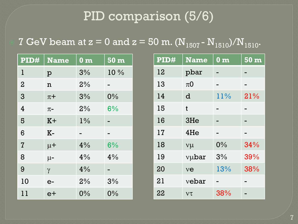# PID comparison (5/6)

### 7 GeV beam at  $z = 0$  and  $z = 50$  m.  $(N_{1507} - N_{1510})/N_{1510}$ .

| PID#           | <b>Name</b> | 0 <sub>m</sub> | 50 m  |
|----------------|-------------|----------------|-------|
| 1              | p           | 3%             | 10 %  |
| $\overline{2}$ | n           | 2%             |       |
| 3              | $\pi$ +     | 3%             | $0\%$ |
| 4              | $\pi$ -     | 2%             | 6%    |
| 5              | $K+$        | $1\%$          |       |
| 6              | $K-$        |                |       |
| $\overline{I}$ | $\mu$ +     | 4%             | 6%    |
| 8              | $\mu$ -     | 4%             | 4%    |
| 9              | $\gamma$    | 4%             |       |
| 10             | $e-$        | 2%             | 3%    |
| 11             | $e+$        | 0%             | 0%    |

| PID# | <b>Name</b>   | 0 <sub>m</sub> | 50 <sub>m</sub> |
|------|---------------|----------------|-----------------|
| 12   | pbar          |                |                 |
| 13   | $\pi$ O       |                |                 |
| 14   | d             | 11%            | 21%             |
| 15   | t             |                |                 |
| 16   | 3He           |                |                 |
| 17   | 4He           |                |                 |
| 18   | $v\mu$        | 0%             | 34%             |
| 19   | vubar         | 3%             | 39%             |
| 20   | $v\mathbf{e}$ | 13%            | 38%             |
| 21   | vebar         |                |                 |
| 22   | $V\tau$       | 38%            |                 |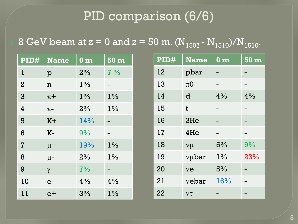# PID comparison (6/6)

## 8 GeV beam at  $z = 0$  and  $z = 50$  m.  $(N_{1507} - N_{1510})/N_{1510}$ .

| PID#           | <b>Name</b> | $0 \text{ m}$ | 50 <sub>m</sub> |
|----------------|-------------|---------------|-----------------|
| l              | p           | 2%            | $7\%$           |
| $\overline{2}$ | n           | $1\%$         |                 |
| 3              | $\pi$ +     | $1\%$         | $1\%$           |
| $\overline{4}$ | $\pi$ -     | 2%            | $1\%$           |
| 5              | $K +$       | 14%           |                 |
| 6              | $K-$        | 9%            |                 |
| $\overline{I}$ | $\mu$ +     | 19%           | $1\%$           |
| 8              | $\mu$ -     | 2%            | $1\%$           |
| 9              | $\gamma$    | 7%            |                 |
| 10             | $e-$        | 4%            | 4%              |
| 11             | $e+$        | 3%            | $1\%$           |

| PID# | <b>Name</b>        | 0 <sub>m</sub> | 50 m |
|------|--------------------|----------------|------|
| 12   | pbar               |                |      |
| 13   | $\pi$ <sup>O</sup> |                |      |
| 14   | d                  | 4%             | 4%   |
| 15   | t                  |                |      |
| 16   | 3He                |                |      |
| 17   | 4He                |                |      |
| 18   | $v\mu$             | 5%             | 9%   |
| 19   | vubar              | $1\%$          | 23%  |
| 20   | ve                 | 5%             |      |
| 21   | vebar              | 16%            |      |
| 22   | $V\tau$            |                |      |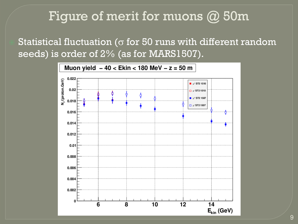## Figure of merit for muons @ 50m

Statistical fluctuation ( $\sigma$  for 50 runs with different random seeds) is order of 2% (as for MARS1507).